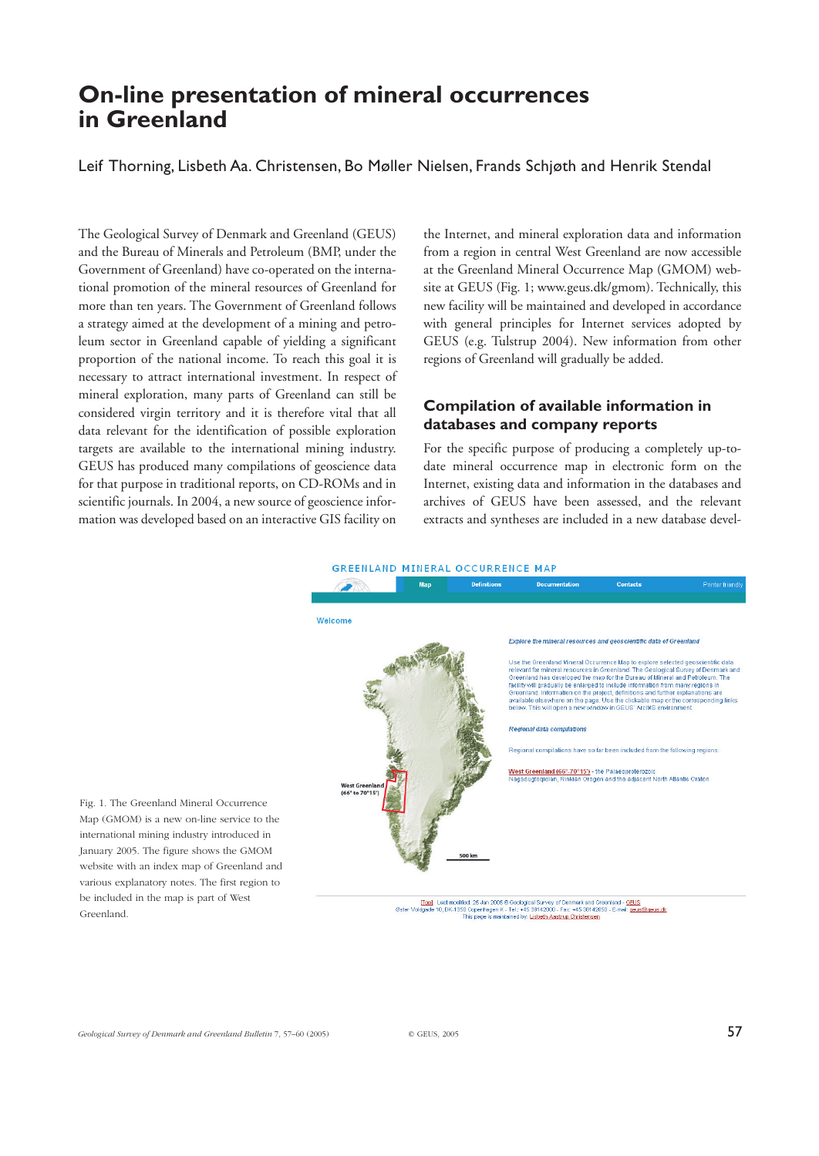# **On-line presentation of mineral occurrences in Greenland**

Leif Thorning, Lisbeth Aa. Christensen, Bo Møller Nielsen, Frands Schjøth and Henrik Stendal

The Geological Survey of Denmark and Greenland (GEUS) and the Bureau of Minerals and Petroleum (BMP, under the Government of Greenland) have co-operated on the international promotion of the mineral resources of Greenland for more than ten years. The Government of Greenland follows a strategy aimed at the development of a mining and petroleum sector in Greenland capable of yielding a significant proportion of the national income. To reach this goal it is necessary to attract international investment. In respect of mineral exploration, many parts of Greenland can still be considered virgin territory and it is therefore vital that all data relevant for the identification of possible exploration targets are available to the international mining industry. GEUS has produced many compilations of geoscience data for that purpose in traditional reports, on CD-ROMs and in scientific journals. In 2004, a new source of geoscience information was developed based on an interactive GIS facility on

the Internet, and mineral exploration data and information from a region in central West Greenland are now accessible at the Greenland Mineral Occurrence Map (GMOM) website at GEUS (Fig. 1; www.geus.dk/gmom). Technically, this new facility will be maintained and developed in accordance with general principles for Internet services adopted by GEUS (e.g. Tulstrup 2004). New information from other regions of Greenland will gradually be added.

## **Compilation of available information in databases and company reports**

For the specific purpose of producing a completely up-todate mineral occurrence map in electronic form on the Internet, existing data and information in the databases and archives of GEUS have been assessed, and the relevant extracts and syntheses are included in a new database devel-

#### **GREENLAND MINERAL OCCURRENCE MAP**



Fig. 1. The Greenland Mineral Occurrence Map (GMOM) is a new on-line service to the international mining industry introduced in January 2005. The figure shows the GMOM website with an index map of Greenland and various explanatory notes. The first region to be included in the map is part of West Greenland.

[Top] Lest modified: 25 Jan 2005 © Geological Survey of Denmark and Greenland – GEUS<br>Idgade 10, DK-1350 Copenhagen K - Tel: +45 38142000 - Fax: +45 38142050 - E-mail: <u>geus@geus.dk</u><br>This page is maintained by: <u>Lisbeth Aas</u> Øster Vo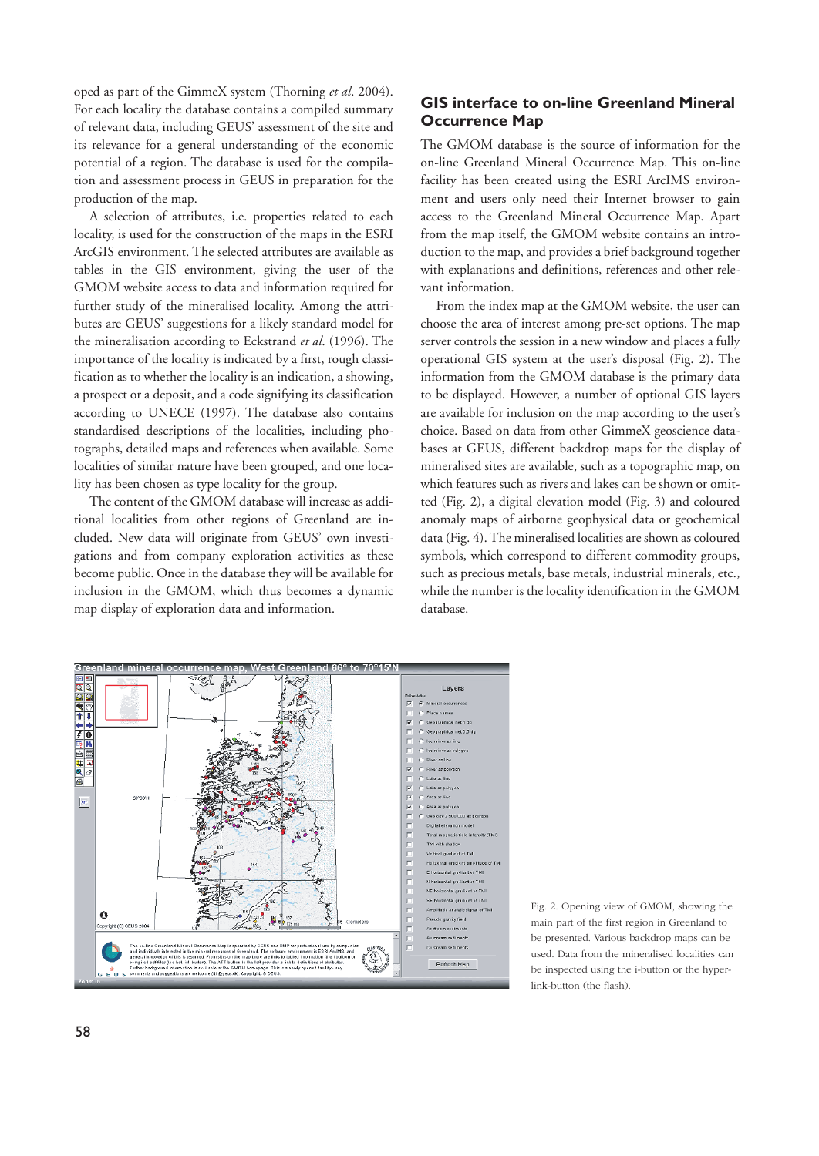oped as part of the GimmeX system (Thorning *et al*. 2004). For each locality the database contains a compiled summary of relevant data, including GEUS' assessment of the site and its relevance for a general understanding of the economic potential of a region. The database is used for the compilation and assessment process in GEUS in preparation for the production of the map.

A selection of attributes, i.e. properties related to each locality, is used for the construction of the maps in the ESRI ArcGIS environment. The selected attributes are available as tables in the GIS environment, giving the user of the GMOM website access to data and information required for further study of the mineralised locality. Among the attributes are GEUS' suggestions for a likely standard model for the mineralisation according to Eckstrand *et al*. (1996). The importance of the locality is indicated by a first, rough classification as to whether the locality is an indication, a showing, a prospect or a deposit, and a code signifying its classification according to UNECE (1997). The database also contains standardised descriptions of the localities, including photographs, detailed maps and references when available. Some localities of similar nature have been grouped, and one locality has been chosen as type locality for the group.

The content of the GMOM database will increase as additional localities from other regions of Greenland are included. New data will originate from GEUS' own investigations and from company exploration activities as these become public. Once in the database they will be available for inclusion in the GMOM, which thus becomes a dynamic map display of exploration data and information.

## **GIS interface to on-line Greenland Mineral Occurrence Map**

The GMOM database is the source of information for the on-line Greenland Mineral Occurrence Map. This on-line facility has been created using the ESRI ArcIMS environment and users only need their Internet browser to gain access to the Greenland Mineral Occurrence Map. Apart from the map itself, the GMOM website contains an introduction to the map, and provides a brief background together with explanations and definitions, references and other relevant information.

From the index map at the GMOM website, the user can choose the area of interest among pre-set options. The map server controls the session in a new window and places a fully operational GIS system at the user's disposal (Fig. 2). The information from the GMOM database is the primary data to be displayed. However, a number of optional GIS layers are available for inclusion on the map according to the user's choice. Based on data from other GimmeX geoscience databases at GEUS, different backdrop maps for the display of mineralised sites are available, such as a topographic map, on which features such as rivers and lakes can be shown or omitted (Fig. 2), a digital elevation model (Fig. 3) and coloured anomaly maps of airborne geophysical data or geochemical data (Fig. 4). The mineralised localities are shown as coloured symbols, which correspond to different commodity groups, such as precious metals, base metals, industrial minerals, etc., while the number is the locality identification in the GMOM database.



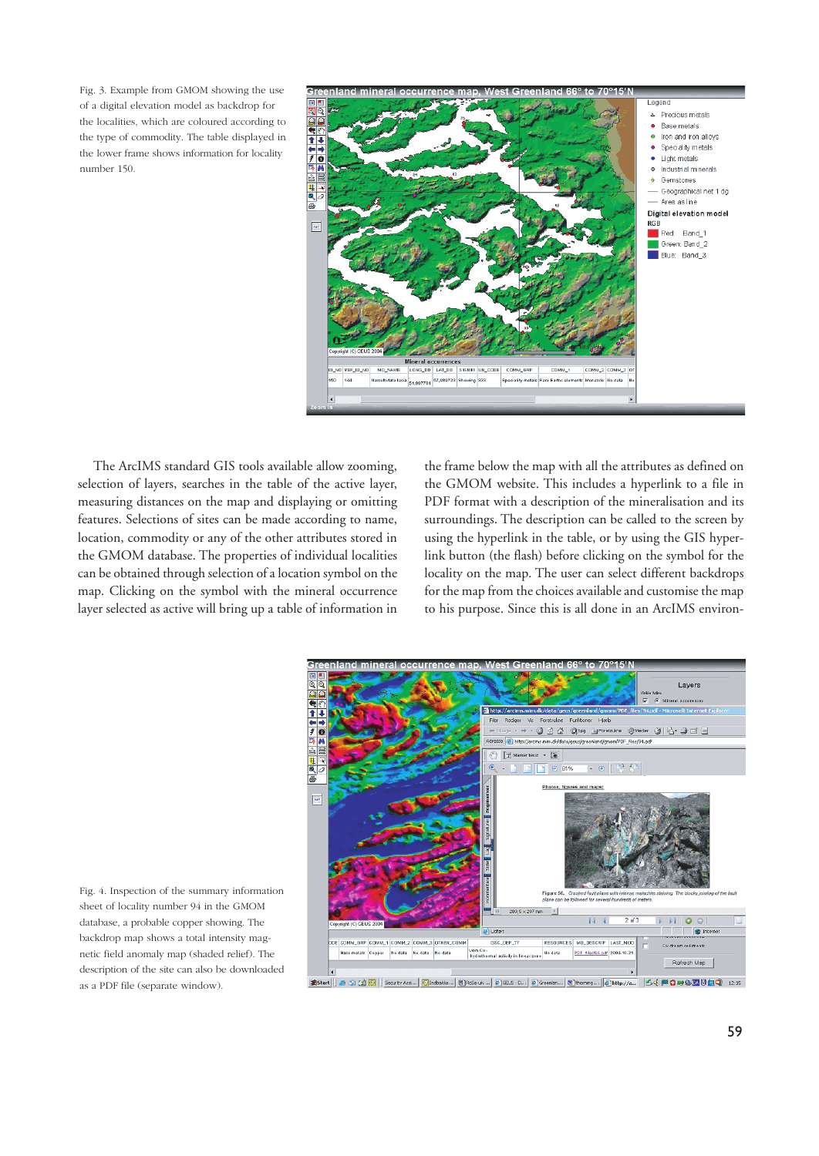Fig. 3. Example from GMOM showing the use of a digital elevation model as backdrop for the localities, which are coloured according to the type of commodity. The table displayed in the lower frame shows information for locality number 150.



The ArcIMS standard GIS tools available allow zooming, selection of layers, searches in the table of the active layer, measuring distances on the map and displaying or omitting features. Selections of sites can be made according to name, location, commodity or any of the other attributes stored in the GMOM database. The properties of individual localities can be obtained through selection of a location symbol on the map. Clicking on the symbol with the mineral occurrence layer selected as active will bring up a table of information in

the frame below the map with all the attributes as defined on the GMOM website. This includes a hyperlink to a file in PDF format with a description of the mineralisation and its surroundings. The description can be called to the screen by using the hyperlink in the table, or by using the GIS hyperlink button (the flash) before clicking on the symbol for the locality on the map. The user can select different backdrops for the map from the choices available and customise the map to his purpose. Since this is all done in an ArcIMS environ-



Fig. 4. Inspection of the summary information sheet of locality number 94 in the GMOM database, a probable copper showing. The backdrop map shows a total intensity magnetic field anomaly map (shaded relief). The description of the site can also be downloaded as a PDF file (separate window).